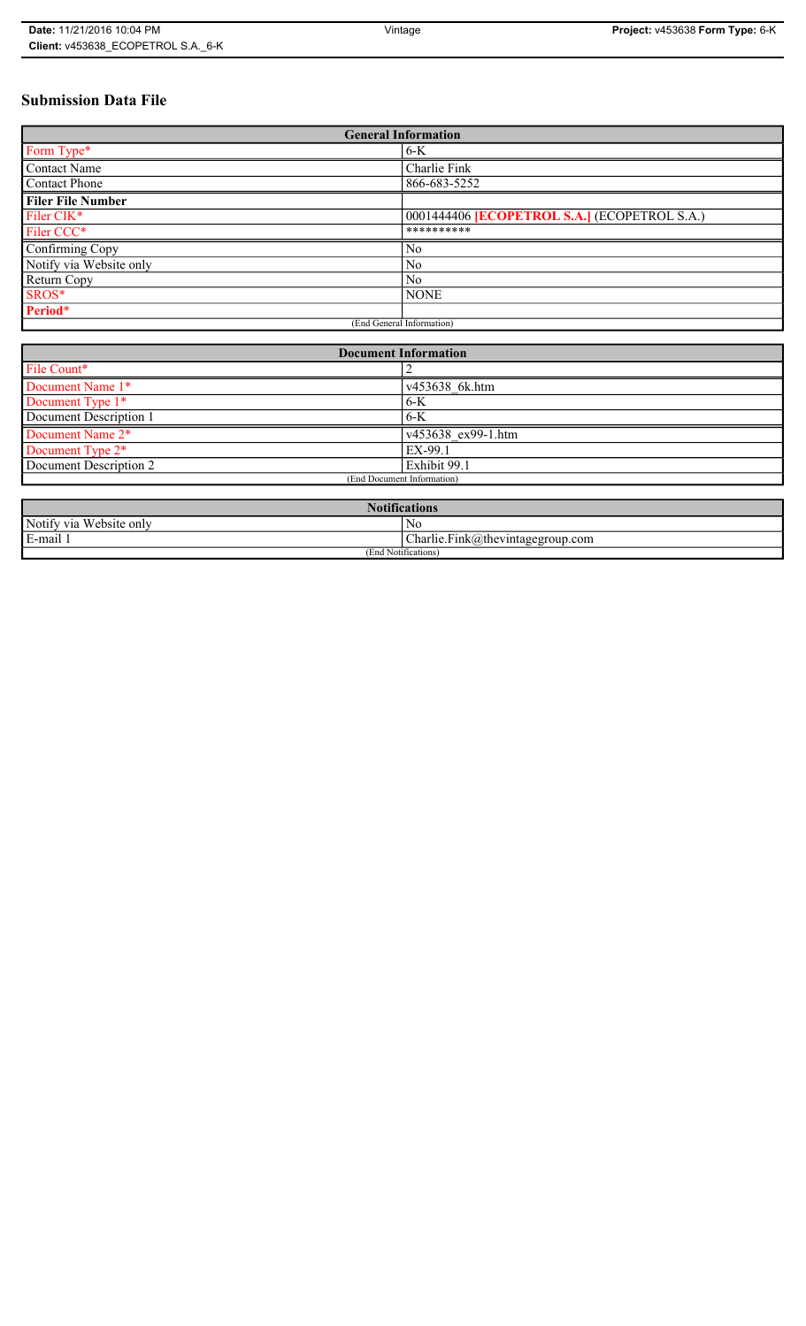# **Submission Data File**

| <b>General Information</b> |                                                     |  |
|----------------------------|-----------------------------------------------------|--|
| Form Type*                 | $6-K$                                               |  |
| <b>Contact Name</b>        | Charlie Fink                                        |  |
| <b>Contact Phone</b>       | 866-683-5252                                        |  |
| <b>Filer File Number</b>   |                                                     |  |
| Filer CIK*                 | 0001444406 <b>[ECOPETROL S.A.]</b> (ECOPETROL S.A.) |  |
| Filer CCC*                 | **********                                          |  |
| Confirming Copy            | N <sub>0</sub>                                      |  |
| Notify via Website only    | N <sub>0</sub>                                      |  |
| Return Copy                | N <sub>0</sub>                                      |  |
| SROS*                      | <b>NONE</b>                                         |  |
| Period*                    |                                                     |  |
| (End General Information)  |                                                     |  |

| <b>Document Information</b>  |                    |  |
|------------------------------|--------------------|--|
| File Count*                  |                    |  |
| Document Name 1*             | v453638 6k.htm     |  |
| Document Type 1*             | $6-K$              |  |
| Document Description 1       | $6 - K$            |  |
| Document Name 2*             | v453638 ex99-1.htm |  |
| Document Type 2 <sup>*</sup> | EX-99.1            |  |
| Document Description 2       | Exhibit 99.1       |  |
| (End Document Information)   |                    |  |
|                              |                    |  |

| Notifications           |                                  |  |
|-------------------------|----------------------------------|--|
| Notify via Website only | N0                               |  |
| E-mail                  | Charlie.Fink@thevintagegroup.com |  |
| (End Notifications)     |                                  |  |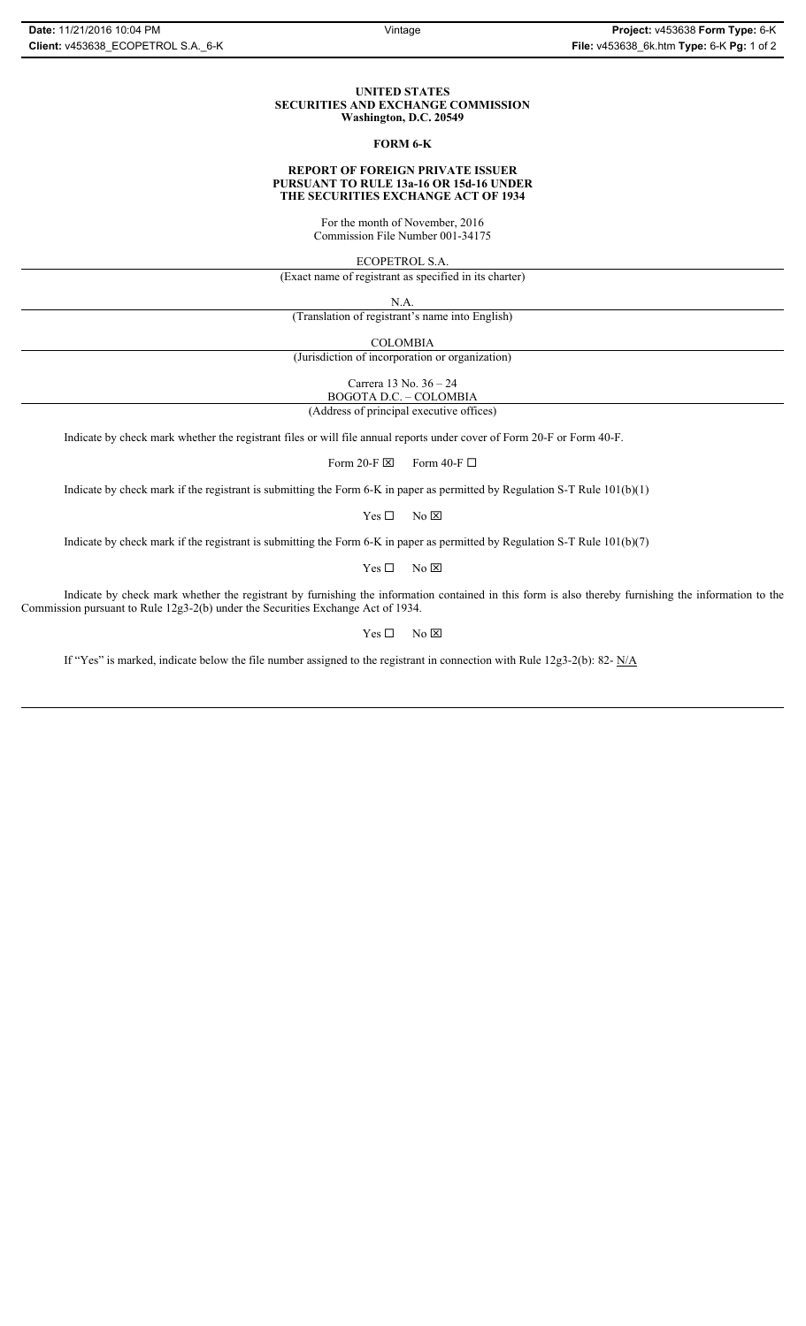### **UNITED STATES SECURITIES AND EXCHANGE COMMISSION Washington, D.C. 20549**

## **FORM 6-K**

### **REPORT OF FOREIGN PRIVATE ISSUER PURSUANT TO RULE 13a-16 OR 15d-16 UNDER THE SECURITIES EXCHANGE ACT OF 1934**

For the month of November, 2016 Commission File Number 001-34175

ECOPETROL S.A.

(Exact name of registrant as specified in its charter)

N.A.

(Translation of registrant's name into English)

COLOMBIA

(Jurisdiction of incorporation or organization)

Carrera 13 No. 36 – 24

BOGOTA D.C. – COLOMBIA

(Address of principal executive offices)

Indicate by check mark whether the registrant files or will file annual reports under cover of Form 20-F or Form 40-F.

Form 20-F  $\boxtimes$  Form 40-F  $\Box$ 

Indicate by check mark if the registrant is submitting the Form 6-K in paper as permitted by Regulation S-T Rule 101(b)(1)

 $Yes \Box$  No  $\boxtimes$ 

Indicate by check mark if the registrant is submitting the Form 6-K in paper as permitted by Regulation S-T Rule 101(b)(7)

 $Yes \Box$  No  $\boxtimes$ 

Indicate by check mark whether the registrant by furnishing the information contained in this form is also thereby furnishing the information to the Commission pursuant to Rule 12g3-2(b) under the Securities Exchange Act of 1934.

 $Yes \Box$  No  $\boxtimes$ 

If "Yes" is marked, indicate below the file number assigned to the registrant in connection with Rule 12g3-2(b): 82- N/A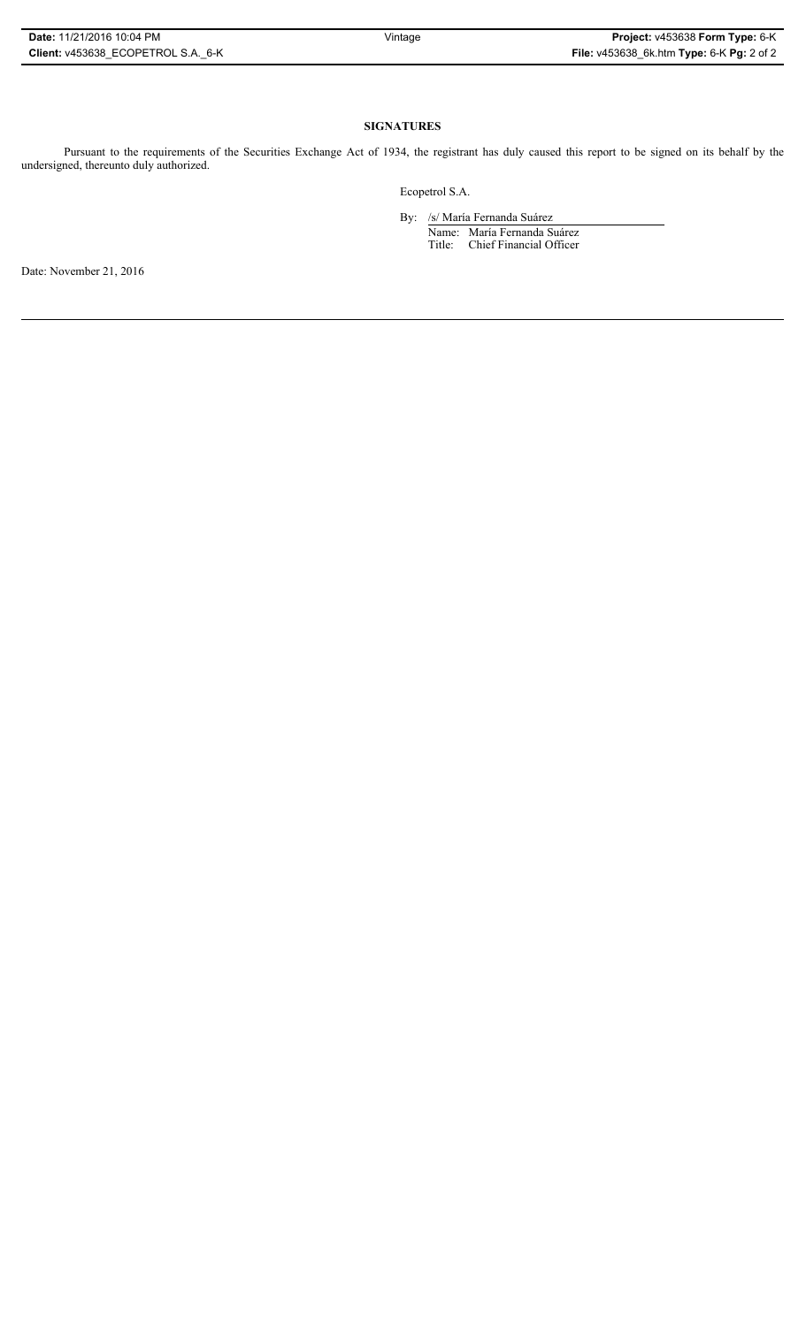## **SIGNATURES**

Pursuant to the requirements of the Securities Exchange Act of 1934, the registrant has duly caused this report to be signed on its behalf by the undersigned, thereunto duly authorized.

Ecopetrol S.A.

By: /s/ María Fernanda Suárez Name: María Fernanda Suárez Title: Chief Financial Officer

Date: November 21, 2016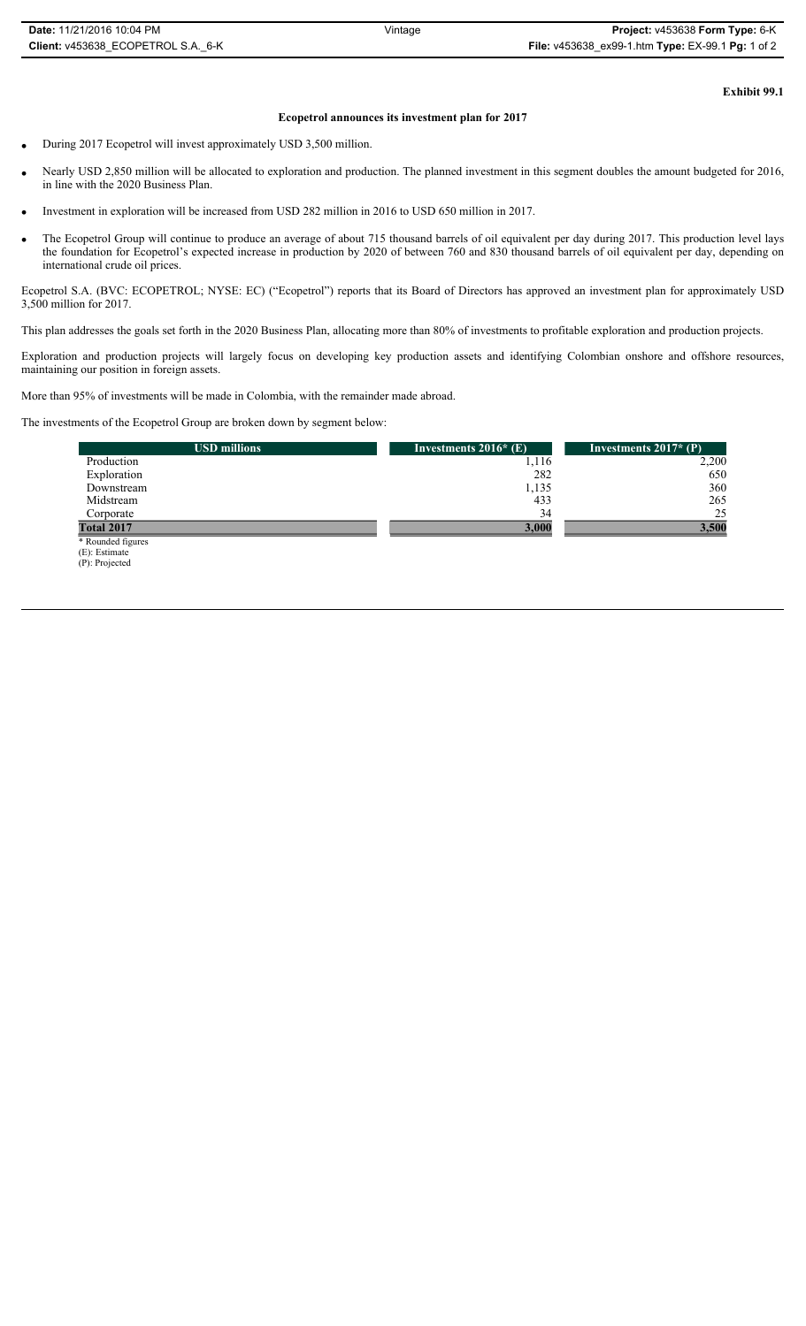**Exhibit 99.1**

## **Ecopetrol announces its investment plan for 2017**

- During 2017 Ecopetrol will invest approximately USD 3,500 million.
- Nearly USD 2,850 million will be allocated to exploration and production. The planned investment in this segment doubles the amount budgeted for 2016, in line with the 2020 Business Plan.
- x Investment in exploration will be increased from USD 282 million in 2016 to USD 650 million in 2017.
- The Ecopetrol Group will continue to produce an average of about 715 thousand barrels of oil equivalent per day during 2017. This production level lays the foundation for Ecopetrol's expected increase in production by 2020 of between 760 and 830 thousand barrels of oil equivalent per day, depending on international crude oil prices.

Ecopetrol S.A. (BVC: ECOPETROL; NYSE: EC) ("Ecopetrol") reports that its Board of Directors has approved an investment plan for approximately USD 3,500 million for 2017.

This plan addresses the goals set forth in the 2020 Business Plan, allocating more than 80% of investments to profitable exploration and production projects.

Exploration and production projects will largely focus on developing key production assets and identifying Colombian onshore and offshore resources, maintaining our position in foreign assets.

More than 95% of investments will be made in Colombia, with the remainder made abroad.

The investments of the Ecopetrol Group are broken down by segment below:

| <b>USD millions</b> | Investments $2016*$ (E) | Investments $2017*$ (P) |
|---------------------|-------------------------|-------------------------|
| Production          | 1,116                   | 2,200                   |
| Exploration         | 282                     | 650                     |
| Downstream          | 1,135                   | 360                     |
| Midstream           | 433                     | 265                     |
| Corporate           | 34                      | 25                      |
| <b>Total 2017</b>   | 3,000                   | 3,500                   |
| * Rounded figures   |                         |                         |
| $(E)$ : Estimate    |                         |                         |
| (P): Projected      |                         |                         |